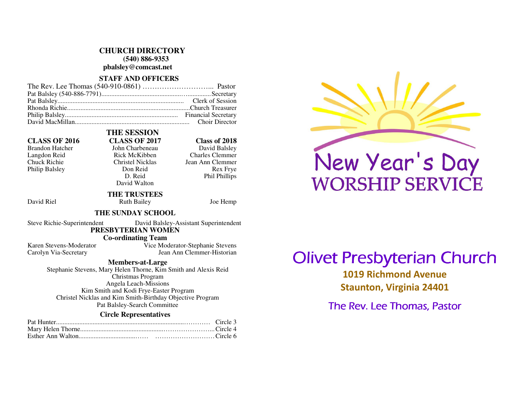#### **CHURCH DIRECTORY**

 **(540) 886-9353** 

**pbalsley@comcast.net** 

### **STAFF AND OFFICERS**

 **THE SESSION** 

### **CLASS OF 2016 CLASS OF 2017 Class of 2018**

Philip Balsley Don Reid

# Brandon Hatcher John Charbeneau<br>Langdon Reid Balsley Rick McKibben

David Balsley Langdon Reid Rick McKibben Charles Clemmer Chuck Richie Christel Nicklas Jean Ann Clemmer Rex Frye D. Reid Phil Phillips

### David Walton  **THE TRUSTEES**

David Riel **Ruth Bailey** Joe Hemp

### **THE SUNDAY SCHOOL**

Steve Richie-Superintendent David Balsley-Assistant Superintendent

### **PRESBYTERIAN WOMEN**

 **Co-ordinating Team** 

 Karen Stevens-Moderator Vice Moderator-Stephanie Stevens Carolyn Via-Secretary Jean Ann Clemmer-Historian

**Members-at-Large** 

 Stephanie Stevens, Mary Helen Thorne, Kim Smith and Alexis Reid Christmas Program Angela Leach-Missions Kim Smith and Kodi Frye-Easter Program Christel Nicklas and Kim Smith-Birthday Objective Program Pat Balsley-Search Committee

### **Circle Representatives**

# New Year's Day **WORSHIP SERVICE**

# **Olivet Presbyterian Church**

1019 Richmond Avenue Staunton, Virginia 24401

The Rev. Lee Thomas, Pastor